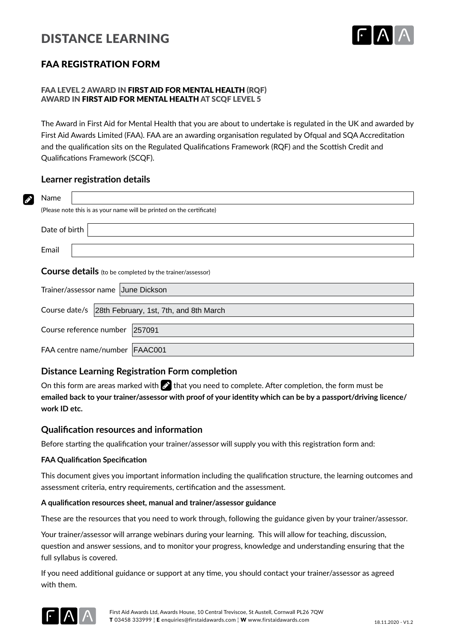# DISTANCE LEARNING



# FAA REGISTRATION FORM

# FAA LEVEL 2 AWARD IN FIRST AID FOR MENTAL HEALTH (ROF) AWARD IN FIRST AID FOR MENTAL HEALTH AT SCQF LEVEL 5

The Award in First Aid for Mental Health that you are about to undertake is regulated in the UK and awarded by First Aid Awards Limited (FAA). FAA are an awarding organisation regulated by Ofqual and SQA Accreditation and the qualification sits on the Regulated Qualifications Framework (RQF) and the Scottish Credit and Qualifications Framework (SCQF).

## **Learner registration details**

| Name<br>Ø     |                                                                       |
|---------------|-----------------------------------------------------------------------|
|               | (Please note this is as your name will be printed on the certificate) |
| Date of birth |                                                                       |
| Email         |                                                                       |
|               | <b>Course details</b> (to be completed by the trainer/assessor)       |
|               | Trainer/assessor name June Dickson                                    |
| Course date/s | 28th February, 1st, 7th, and 8th March                                |
|               | Course reference number<br>257091                                     |
|               | FAA centre name/number   FAAC001                                      |

# **Distance Learning Registration Form completion**

On this form are areas marked with  $\gg$  that you need to complete. After completion, the form must be **emailed back to your trainer/assessor with proof of your identity which can be by a passport/driving licence/ work ID etc.**

## **Qualification resources and information**

Before starting the qualification your trainer/assessor will supply you with this registration form and:

## **FAA Qualification Specification**

This document gives you important information including the qualification structure, the learning outcomes and assessment criteria, entry requirements, certification and the assessment.

#### **A qualification resources sheet, manual and trainer/assessor guidance**

These are the resources that you need to work through, following the guidance given by your trainer/assessor.

Your trainer/assessor will arrange webinars during your learning. This will allow for teaching, discussion, question and answer sessions, and to monitor your progress, knowledge and understanding ensuring that the full syllabus is covered.

If you need additional guidance or support at any time, you should contact your trainer/assessor as agreed with them.

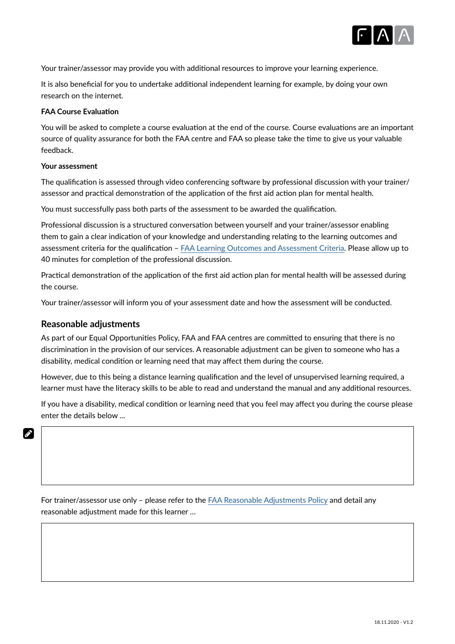

Your trainer/assessor may provide you with additional resources to improve your learning experience.

It is also beneficial for you to undertake additional independent learning for example, by doing your own research on the internet.

#### **FAA Course Evaluation**

You will be asked to complete a course evaluation at the end of the course. Course evaluations are an important source of quality assurance for both the FAA centre and FAA so please take the time to give us your valuable feedback.

#### **Your assessment**

The qualification is assessed through video conferencing software by professional discussion with your trainer/ assessor and practical demonstration of the application of the first aid action plan for mental health.

You must successfully pass both parts of the assessment to be awarded the qualification.

Professional discussion is a structured conversation between yourself and your trainer/assessor enabling them to gain a clear indication of your knowledge and understanding relating to the learning outcomes and assessment criteria for the qualification – FAA Learning Outcomes and Assessment Criteria. Please allow up to 40 minutes for completion of the professional discussion.

Practical demonstration of the application of the first aid action plan for mental health will be assessed during the course.

Your trainer/assessor will inform you of your assessment date and how the assessment will be conducted.

## **Reasonable adjustments**

 $\mathscr{L}$ 

As part of our Equal Opportunities Policy, FAA and FAA centres are committed to ensuring that there is no discrimination in the provision of our services. A reasonable adjustment can be given to someone who has a disability, medical condition or learning need that may affect them during the course.

However, due to this being a distance learning qualification and the level of unsupervised learning required, a learner must have the literacy skills to be able to read and understand the manual and any additional resources.

If you have a disability, medical condition or learning need that you feel may affect you during the course please enter the details below ...

For trainer/assessor use only – please refer to the FAA Reasonable Adjustments Policy and detail any reasonable adjustment made for this learner …